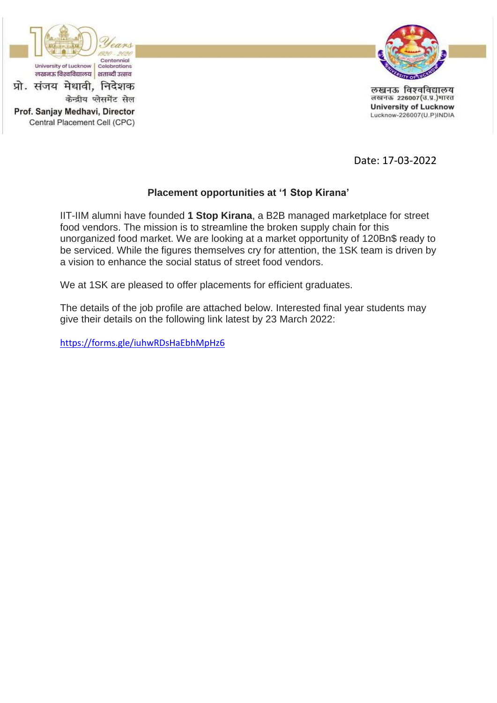

Central Placement Cell (CPC)



लखनऊ विश्वविद्यालय लखनऊ 226007(उ.प्र.)भारत **University of Lucknow** Lucknow-226007(U.P)INDIA

Date: 17-03-2022

## **Placement opportunities at '1 Stop Kirana'**

IIT-IIM alumni have founded **1 Stop Kirana**, a B2B managed marketplace for street food vendors. The mission is to streamline the broken supply chain for this unorganized food market. We are looking at a market opportunity of 120Bn\$ ready to be serviced. While the figures themselves cry for attention, the 1SK team is driven by a vision to enhance the social status of street food vendors.

We at 1SK are pleased to offer placements for efficient graduates.

The details of the job profile are attached below. Interested final year students may give their details on the following link latest by 23 March 2022:

<https://forms.gle/iuhwRDsHaEbhMpHz6>